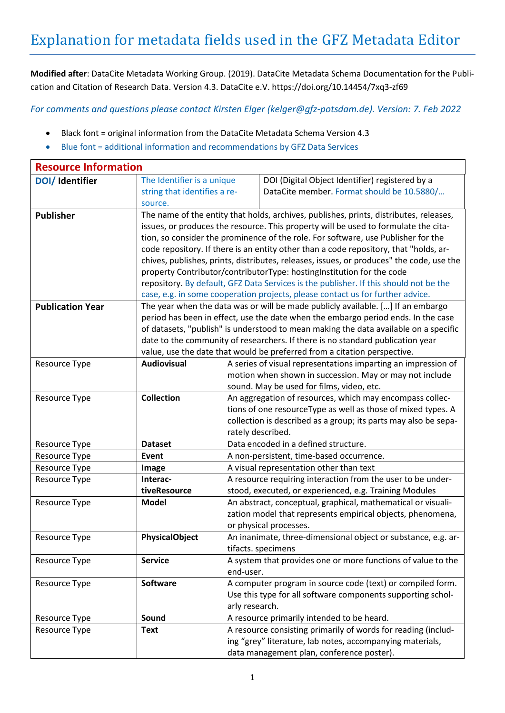**Modified after**: DataCite Metadata Working Group. (2019). DataCite Metadata Schema Documentation for the Publication and Citation of Research Data. Version 4.3. DataCite e.V[. https://doi.org/10.14454/7xq3-zf69](https://doi.org/10.14454/7xq3-zf69)

*For comments and questions please contact Kirsten Elger [\(kelger@gfz-potsdam.de\)](mailto:kelger@gfz-potsdam.de). Version: 7. Feb 2022*

- Black font = original information from the DataCite Metadata Schema Version 4.3
- Blue font = additional information and recommendations by GFZ Data Services

| <b>Resource Information</b> |                                                                                          |                                                                                       |                                                                                      |  |
|-----------------------------|------------------------------------------------------------------------------------------|---------------------------------------------------------------------------------------|--------------------------------------------------------------------------------------|--|
| DOI/ Identifier             | The Identifier is a unique                                                               |                                                                                       | DOI (Digital Object Identifier) registered by a                                      |  |
|                             | string that identifies a re-                                                             |                                                                                       | DataCite member. Format should be 10.5880/                                           |  |
|                             | source.                                                                                  |                                                                                       |                                                                                      |  |
| <b>Publisher</b>            | The name of the entity that holds, archives, publishes, prints, distributes, releases,   |                                                                                       |                                                                                      |  |
|                             | issues, or produces the resource. This property will be used to formulate the cita-      |                                                                                       |                                                                                      |  |
|                             | tion, so consider the prominence of the role. For software, use Publisher for the        |                                                                                       |                                                                                      |  |
|                             | code repository. If there is an entity other than a code repository, that "holds, ar-    |                                                                                       |                                                                                      |  |
|                             | chives, publishes, prints, distributes, releases, issues, or produces" the code, use the |                                                                                       |                                                                                      |  |
|                             | property Contributor/contributorType: hostingInstitution for the code                    |                                                                                       |                                                                                      |  |
|                             |                                                                                          | repository. By default, GFZ Data Services is the publisher. If this should not be the |                                                                                      |  |
|                             |                                                                                          | case, e.g. in some cooperation projects, please contact us for further advice.        |                                                                                      |  |
| <b>Publication Year</b>     | The year when the data was or will be made publicly available. [] If an embargo          |                                                                                       |                                                                                      |  |
|                             |                                                                                          |                                                                                       | period has been in effect, use the date when the embargo period ends. In the case    |  |
|                             |                                                                                          |                                                                                       | of datasets, "publish" is understood to mean making the data available on a specific |  |
|                             |                                                                                          |                                                                                       | date to the community of researchers. If there is no standard publication year       |  |
|                             |                                                                                          |                                                                                       | value, use the date that would be preferred from a citation perspective.             |  |
| Resource Type               | <b>Audiovisual</b>                                                                       |                                                                                       | A series of visual representations imparting an impression of                        |  |
|                             |                                                                                          |                                                                                       | motion when shown in succession. May or may not include                              |  |
|                             |                                                                                          | sound. May be used for films, video, etc.                                             |                                                                                      |  |
| Resource Type               | <b>Collection</b>                                                                        | An aggregation of resources, which may encompass collec-                              |                                                                                      |  |
|                             |                                                                                          |                                                                                       | tions of one resourceType as well as those of mixed types. A                         |  |
|                             |                                                                                          | collection is described as a group; its parts may also be sepa-                       |                                                                                      |  |
|                             |                                                                                          | rately described.                                                                     |                                                                                      |  |
| Resource Type               | <b>Dataset</b>                                                                           | Data encoded in a defined structure.                                                  |                                                                                      |  |
| Resource Type               | Event                                                                                    | A non-persistent, time-based occurrence.                                              |                                                                                      |  |
| Resource Type               | Image                                                                                    |                                                                                       | A visual representation other than text                                              |  |
| Resource Type               | Interac-                                                                                 |                                                                                       | A resource requiring interaction from the user to be under-                          |  |
|                             | tiveResource                                                                             |                                                                                       | stood, executed, or experienced, e.g. Training Modules                               |  |
| Resource Type               | <b>Model</b>                                                                             |                                                                                       | An abstract, conceptual, graphical, mathematical or visuali-                         |  |
|                             |                                                                                          |                                                                                       | zation model that represents empirical objects, phenomena,<br>or physical processes. |  |
| <b>Resource Type</b>        | <b>PhysicalObject</b>                                                                    |                                                                                       | An inanimate, three-dimensional object or substance, e.g. ar-                        |  |
|                             |                                                                                          |                                                                                       | tifacts. specimens                                                                   |  |
| Resource Type               | <b>Service</b>                                                                           |                                                                                       | A system that provides one or more functions of value to the                         |  |
|                             |                                                                                          | end-user.                                                                             |                                                                                      |  |
| Resource Type               | <b>Software</b>                                                                          |                                                                                       | A computer program in source code (text) or compiled form.                           |  |
|                             |                                                                                          |                                                                                       | Use this type for all software components supporting schol-                          |  |
|                             |                                                                                          | arly research.                                                                        |                                                                                      |  |
| Resource Type               | Sound                                                                                    | A resource primarily intended to be heard.                                            |                                                                                      |  |
| Resource Type               | <b>Text</b>                                                                              |                                                                                       | A resource consisting primarily of words for reading (includ-                        |  |
|                             |                                                                                          |                                                                                       | ing "grey" literature, lab notes, accompanying materials,                            |  |
|                             |                                                                                          |                                                                                       | data management plan, conference poster).                                            |  |
|                             |                                                                                          |                                                                                       |                                                                                      |  |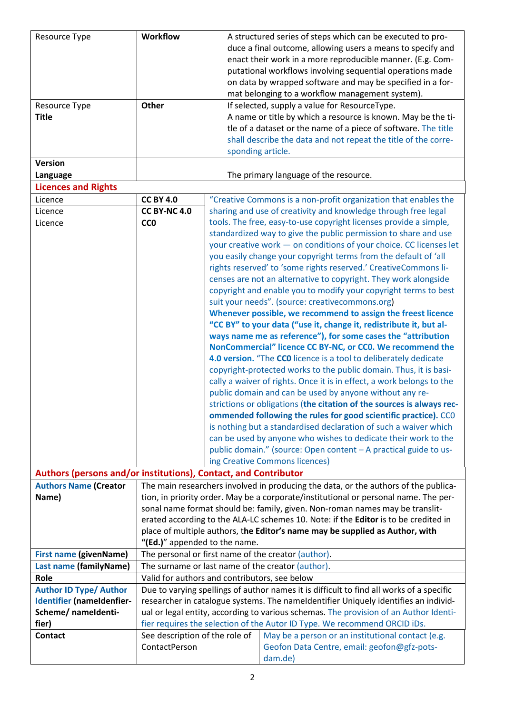| Resource Type                                                   | <b>Workflow</b>                                                                          |                                                         | A structured series of steps which can be executed to pro-            |  |  |
|-----------------------------------------------------------------|------------------------------------------------------------------------------------------|---------------------------------------------------------|-----------------------------------------------------------------------|--|--|
|                                                                 |                                                                                          |                                                         | duce a final outcome, allowing users a means to specify and           |  |  |
|                                                                 |                                                                                          |                                                         | enact their work in a more reproducible manner. (E.g. Com-            |  |  |
|                                                                 |                                                                                          |                                                         | putational workflows involving sequential operations made             |  |  |
|                                                                 |                                                                                          |                                                         | on data by wrapped software and may be specified in a for-            |  |  |
|                                                                 |                                                                                          |                                                         | mat belonging to a workflow management system).                       |  |  |
| Resource Type                                                   | Other                                                                                    |                                                         | If selected, supply a value for ResourceType.                         |  |  |
| <b>Title</b>                                                    |                                                                                          |                                                         | A name or title by which a resource is known. May be the ti-          |  |  |
|                                                                 |                                                                                          |                                                         | tle of a dataset or the name of a piece of software. The title        |  |  |
|                                                                 |                                                                                          |                                                         | shall describe the data and not repeat the title of the corre-        |  |  |
|                                                                 |                                                                                          | sponding article.                                       |                                                                       |  |  |
| <b>Version</b>                                                  |                                                                                          |                                                         |                                                                       |  |  |
| Language                                                        |                                                                                          |                                                         | The primary language of the resource.                                 |  |  |
| <b>Licences and Rights</b>                                      |                                                                                          |                                                         |                                                                       |  |  |
| Licence                                                         | <b>CC BY 4.0</b>                                                                         |                                                         | "Creative Commons is a non-profit organization that enables the       |  |  |
| Licence                                                         | <b>CC BY-NC 4.0</b>                                                                      |                                                         | sharing and use of creativity and knowledge through free legal        |  |  |
| Licence                                                         | <b>CCO</b>                                                                               |                                                         | tools. The free, easy-to-use copyright licenses provide a simple,     |  |  |
|                                                                 |                                                                                          |                                                         | standardized way to give the public permission to share and use       |  |  |
|                                                                 |                                                                                          |                                                         | your creative work - on conditions of your choice. CC licenses let    |  |  |
|                                                                 |                                                                                          |                                                         | you easily change your copyright terms from the default of 'all       |  |  |
|                                                                 |                                                                                          |                                                         | rights reserved' to 'some rights reserved.' CreativeCommons li-       |  |  |
|                                                                 |                                                                                          |                                                         | censes are not an alternative to copyright. They work alongside       |  |  |
|                                                                 | copyright and enable you to modify your copyright terms to best                          |                                                         |                                                                       |  |  |
|                                                                 | suit your needs". (source: creativecommons.org)                                          |                                                         |                                                                       |  |  |
|                                                                 |                                                                                          |                                                         | Whenever possible, we recommend to assign the freest licence          |  |  |
|                                                                 |                                                                                          |                                                         | "CC BY" to your data ("use it, change it, redistribute it, but al-    |  |  |
|                                                                 | ways name me as reference"), for some cases the "attribution                             |                                                         |                                                                       |  |  |
|                                                                 | NonCommercial" licence CC BY-NC, or CC0. We recommend the                                |                                                         |                                                                       |  |  |
|                                                                 | 4.0 version. "The CCO licence is a tool to deliberately dedicate                         |                                                         |                                                                       |  |  |
|                                                                 |                                                                                          |                                                         | copyright-protected works to the public domain. Thus, it is basi-     |  |  |
|                                                                 |                                                                                          |                                                         | cally a waiver of rights. Once it is in effect, a work belongs to the |  |  |
|                                                                 |                                                                                          | public domain and can be used by anyone without any re- |                                                                       |  |  |
|                                                                 | strictions or obligations (the citation of the sources is always rec-                    |                                                         |                                                                       |  |  |
|                                                                 | ommended following the rules for good scientific practice). CCO                          |                                                         |                                                                       |  |  |
|                                                                 | is nothing but a standardised declaration of such a waiver which                         |                                                         |                                                                       |  |  |
|                                                                 |                                                                                          |                                                         | can be used by anyone who wishes to dedicate their work to the        |  |  |
|                                                                 |                                                                                          |                                                         | public domain." (source: Open content - A practical guide to us-      |  |  |
|                                                                 |                                                                                          |                                                         | ing Creative Commons licences)                                        |  |  |
| Authors (persons and/or institutions), Contact, and Contributor |                                                                                          |                                                         |                                                                       |  |  |
| <b>Authors Name (Creator</b>                                    | The main researchers involved in producing the data, or the authors of the publica-      |                                                         |                                                                       |  |  |
| Name)                                                           | tion, in priority order. May be a corporate/institutional or personal name. The per-     |                                                         |                                                                       |  |  |
|                                                                 | sonal name format should be: family, given. Non-roman names may be translit-             |                                                         |                                                                       |  |  |
|                                                                 | erated according to the ALA-LC schemes 10. Note: if the Editor is to be credited in      |                                                         |                                                                       |  |  |
|                                                                 | place of multiple authors, the Editor's name may be supplied as Author, with             |                                                         |                                                                       |  |  |
|                                                                 | "(Ed.)" appended to the name.                                                            |                                                         |                                                                       |  |  |
| <b>First name (givenName)</b>                                   | The personal or first name of the creator (author).                                      |                                                         |                                                                       |  |  |
| Last name (familyName)                                          | The surname or last name of the creator (author).                                        |                                                         |                                                                       |  |  |
| Role                                                            | Valid for authors and contributors, see below                                            |                                                         |                                                                       |  |  |
| <b>Author ID Type/ Author</b>                                   | Due to varying spellings of author names it is difficult to find all works of a specific |                                                         |                                                                       |  |  |
| Identifier (nameIdenfier-                                       | researcher in catalogue systems. The nameIdentifier Uniquely identifies an individ-      |                                                         |                                                                       |  |  |
| Scheme/ nameIdenti-                                             | ual or legal entity, according to various schemas. The provision of an Author Identi-    |                                                         |                                                                       |  |  |
| fier)                                                           | fier requires the selection of the Autor ID Type. We recommend ORCID iDs.                |                                                         |                                                                       |  |  |
| <b>Contact</b>                                                  | See description of the role of                                                           |                                                         | May be a person or an institutional contact (e.g.                     |  |  |
|                                                                 | ContactPerson                                                                            |                                                         | Geofon Data Centre, email: geofon@gfz-pots-                           |  |  |
|                                                                 |                                                                                          |                                                         | dam.de)                                                               |  |  |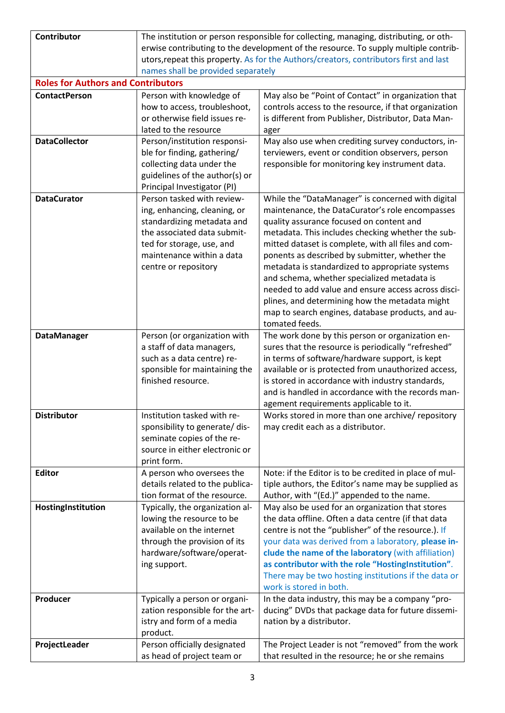| <b>Contributor</b>                        | The institution or person responsible for collecting, managing, distributing, or oth-<br>erwise contributing to the development of the resource. To supply multiple contrib-<br>utors, repeat this property. As for the Authors/creators, contributors first and last |                                                                                                            |  |
|-------------------------------------------|-----------------------------------------------------------------------------------------------------------------------------------------------------------------------------------------------------------------------------------------------------------------------|------------------------------------------------------------------------------------------------------------|--|
| <b>Roles for Authors and Contributors</b> | names shall be provided separately                                                                                                                                                                                                                                    |                                                                                                            |  |
| <b>ContactPerson</b>                      | Person with knowledge of                                                                                                                                                                                                                                              | May also be "Point of Contact" in organization that                                                        |  |
|                                           | how to access, troubleshoot,                                                                                                                                                                                                                                          | controls access to the resource, if that organization                                                      |  |
|                                           | or otherwise field issues re-                                                                                                                                                                                                                                         | is different from Publisher, Distributor, Data Man-                                                        |  |
|                                           | lated to the resource                                                                                                                                                                                                                                                 | ager                                                                                                       |  |
| <b>DataCollector</b>                      | Person/institution responsi-                                                                                                                                                                                                                                          | May also use when crediting survey conductors, in-                                                         |  |
|                                           | ble for finding, gathering/                                                                                                                                                                                                                                           | terviewers, event or condition observers, person                                                           |  |
|                                           | collecting data under the                                                                                                                                                                                                                                             | responsible for monitoring key instrument data.                                                            |  |
|                                           | guidelines of the author(s) or                                                                                                                                                                                                                                        |                                                                                                            |  |
|                                           | Principal Investigator (PI)                                                                                                                                                                                                                                           |                                                                                                            |  |
| <b>DataCurator</b>                        | Person tasked with review-                                                                                                                                                                                                                                            | While the "DataManager" is concerned with digital                                                          |  |
|                                           | ing, enhancing, cleaning, or                                                                                                                                                                                                                                          | maintenance, the DataCurator's role encompasses                                                            |  |
|                                           | standardizing metadata and                                                                                                                                                                                                                                            | quality assurance focused on content and                                                                   |  |
|                                           | the associated data submit-                                                                                                                                                                                                                                           | metadata. This includes checking whether the sub-                                                          |  |
|                                           | ted for storage, use, and<br>maintenance within a data                                                                                                                                                                                                                | mitted dataset is complete, with all files and com-<br>ponents as described by submitter, whether the      |  |
|                                           | centre or repository                                                                                                                                                                                                                                                  | metadata is standardized to appropriate systems                                                            |  |
|                                           |                                                                                                                                                                                                                                                                       | and schema, whether specialized metadata is                                                                |  |
|                                           |                                                                                                                                                                                                                                                                       | needed to add value and ensure access across disci-                                                        |  |
|                                           |                                                                                                                                                                                                                                                                       | plines, and determining how the metadata might                                                             |  |
|                                           |                                                                                                                                                                                                                                                                       | map to search engines, database products, and au-                                                          |  |
|                                           |                                                                                                                                                                                                                                                                       | tomated feeds.                                                                                             |  |
| <b>DataManager</b>                        | Person (or organization with                                                                                                                                                                                                                                          | The work done by this person or organization en-                                                           |  |
|                                           | a staff of data managers,                                                                                                                                                                                                                                             | sures that the resource is periodically "refreshed"                                                        |  |
|                                           | such as a data centre) re-                                                                                                                                                                                                                                            | in terms of software/hardware support, is kept                                                             |  |
|                                           | sponsible for maintaining the                                                                                                                                                                                                                                         | available or is protected from unauthorized access,                                                        |  |
|                                           | finished resource.                                                                                                                                                                                                                                                    | is stored in accordance with industry standards,<br>and is handled in accordance with the records man-     |  |
|                                           |                                                                                                                                                                                                                                                                       | agement requirements applicable to it.                                                                     |  |
| <b>Distributor</b>                        | Institution tasked with re-                                                                                                                                                                                                                                           | Works stored in more than one archive/ repository                                                          |  |
|                                           | sponsibility to generate/ dis-                                                                                                                                                                                                                                        | may credit each as a distributor.                                                                          |  |
|                                           | seminate copies of the re-                                                                                                                                                                                                                                            |                                                                                                            |  |
|                                           | source in either electronic or                                                                                                                                                                                                                                        |                                                                                                            |  |
|                                           | print form.                                                                                                                                                                                                                                                           |                                                                                                            |  |
| <b>Editor</b>                             | A person who oversees the                                                                                                                                                                                                                                             | Note: if the Editor is to be credited in place of mul-                                                     |  |
|                                           | details related to the publica-                                                                                                                                                                                                                                       | tiple authors, the Editor's name may be supplied as                                                        |  |
|                                           | tion format of the resource.                                                                                                                                                                                                                                          | Author, with "(Ed.)" appended to the name.                                                                 |  |
| HostingInstitution                        | Typically, the organization al-<br>lowing the resource to be                                                                                                                                                                                                          | May also be used for an organization that stores                                                           |  |
|                                           | available on the internet                                                                                                                                                                                                                                             | the data offline. Often a data centre (if that data<br>centre is not the "publisher" of the resource.). If |  |
|                                           | through the provision of its                                                                                                                                                                                                                                          | your data was derived from a laboratory, please in-                                                        |  |
|                                           | hardware/software/operat-                                                                                                                                                                                                                                             | clude the name of the laboratory (with affiliation)                                                        |  |
|                                           | ing support.                                                                                                                                                                                                                                                          | as contributor with the role "HostingInstitution".                                                         |  |
|                                           |                                                                                                                                                                                                                                                                       | There may be two hosting institutions if the data or                                                       |  |
|                                           |                                                                                                                                                                                                                                                                       | work is stored in both.                                                                                    |  |
| Producer                                  | Typically a person or organi-                                                                                                                                                                                                                                         | In the data industry, this may be a company "pro-                                                          |  |
|                                           | zation responsible for the art-                                                                                                                                                                                                                                       | ducing" DVDs that package data for future dissemi-                                                         |  |
|                                           | istry and form of a media                                                                                                                                                                                                                                             | nation by a distributor.                                                                                   |  |
|                                           | product.                                                                                                                                                                                                                                                              |                                                                                                            |  |
| ProjectLeader                             | Person officially designated                                                                                                                                                                                                                                          | The Project Leader is not "removed" from the work                                                          |  |
|                                           | as head of project team or                                                                                                                                                                                                                                            | that resulted in the resource; he or she remains                                                           |  |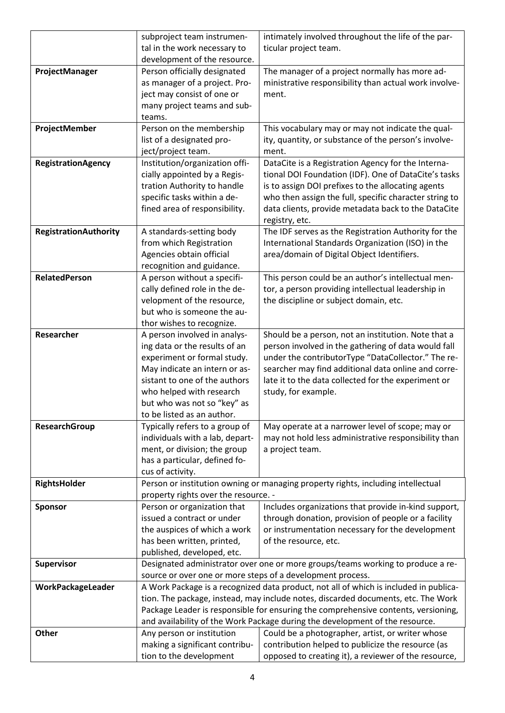|                              | subproject team instrumen-                                                            | intimately involved throughout the life of the par-                             |
|------------------------------|---------------------------------------------------------------------------------------|---------------------------------------------------------------------------------|
|                              | tal in the work necessary to                                                          | ticular project team.                                                           |
|                              | development of the resource.                                                          |                                                                                 |
| ProjectManager               | Person officially designated                                                          | The manager of a project normally has more ad-                                  |
|                              | as manager of a project. Pro-                                                         | ministrative responsibility than actual work involve-                           |
|                              | ject may consist of one or                                                            | ment.                                                                           |
|                              | many project teams and sub-                                                           |                                                                                 |
|                              | teams.                                                                                |                                                                                 |
| ProjectMember                | Person on the membership                                                              | This vocabulary may or may not indicate the qual-                               |
|                              | list of a designated pro-                                                             | ity, quantity, or substance of the person's involve-                            |
|                              | ject/project team.                                                                    | ment.                                                                           |
| <b>RegistrationAgency</b>    | Institution/organization offi-                                                        | DataCite is a Registration Agency for the Interna-                              |
|                              | cially appointed by a Regis-                                                          | tional DOI Foundation (IDF). One of DataCite's tasks                            |
|                              | tration Authority to handle                                                           | is to assign DOI prefixes to the allocating agents                              |
|                              | specific tasks within a de-                                                           | who then assign the full, specific character string to                          |
|                              | fined area of responsibility.                                                         | data clients, provide metadata back to the DataCite                             |
|                              |                                                                                       | registry, etc.                                                                  |
| <b>RegistrationAuthority</b> | A standards-setting body                                                              | The IDF serves as the Registration Authority for the                            |
|                              | from which Registration                                                               | International Standards Organization (ISO) in the                               |
|                              | Agencies obtain official                                                              | area/domain of Digital Object Identifiers.                                      |
|                              | recognition and guidance.                                                             |                                                                                 |
| <b>RelatedPerson</b>         | A person without a specifi-                                                           | This person could be an author's intellectual men-                              |
|                              | cally defined role in the de-                                                         | tor, a person providing intellectual leadership in                              |
|                              | velopment of the resource,                                                            | the discipline or subject domain, etc.                                          |
|                              | but who is someone the au-                                                            |                                                                                 |
|                              | thor wishes to recognize.                                                             |                                                                                 |
| Researcher                   | A person involved in analys-                                                          | Should be a person, not an institution. Note that a                             |
|                              | ing data or the results of an                                                         | person involved in the gathering of data would fall                             |
|                              | experiment or formal study.                                                           | under the contributorType "DataCollector." The re-                              |
|                              | May indicate an intern or as-                                                         | searcher may find additional data online and corre-                             |
|                              | sistant to one of the authors                                                         | late it to the data collected for the experiment or                             |
|                              | who helped with research<br>but who was not so "key" as                               | study, for example.                                                             |
|                              | to be listed as an author.                                                            |                                                                                 |
| <b>ResearchGroup</b>         | Typically refers to a group of                                                        | May operate at a narrower level of scope; may or                                |
|                              | individuals with a lab, depart-                                                       | may not hold less administrative responsibility than                            |
|                              | ment, or division; the group                                                          | a project team.                                                                 |
|                              | has a particular, defined fo-                                                         |                                                                                 |
|                              | cus of activity.                                                                      |                                                                                 |
| RightsHolder                 | Person or institution owning or managing property rights, including intellectual      |                                                                                 |
|                              | property rights over the resource. -                                                  |                                                                                 |
| <b>Sponsor</b>               | Person or organization that                                                           | Includes organizations that provide in-kind support,                            |
|                              | issued a contract or under                                                            | through donation, provision of people or a facility                             |
|                              | the auspices of which a work                                                          | or instrumentation necessary for the development                                |
|                              | has been written, printed,                                                            | of the resource, etc.                                                           |
|                              | published, developed, etc.                                                            |                                                                                 |
| Supervisor                   |                                                                                       | Designated administrator over one or more groups/teams working to produce a re- |
|                              | source or over one or more steps of a development process.                            |                                                                                 |
| WorkPackageLeader            | A Work Package is a recognized data product, not all of which is included in publica- |                                                                                 |
|                              | tion. The package, instead, may include notes, discarded documents, etc. The Work     |                                                                                 |
|                              | Package Leader is responsible for ensuring the comprehensive contents, versioning,    |                                                                                 |
|                              | and availability of the Work Package during the development of the resource.          |                                                                                 |
| Other                        | Any person or institution                                                             | Could be a photographer, artist, or writer whose                                |
|                              | making a significant contribu-                                                        | contribution helped to publicize the resource (as                               |
|                              | tion to the development                                                               | opposed to creating it), a reviewer of the resource,                            |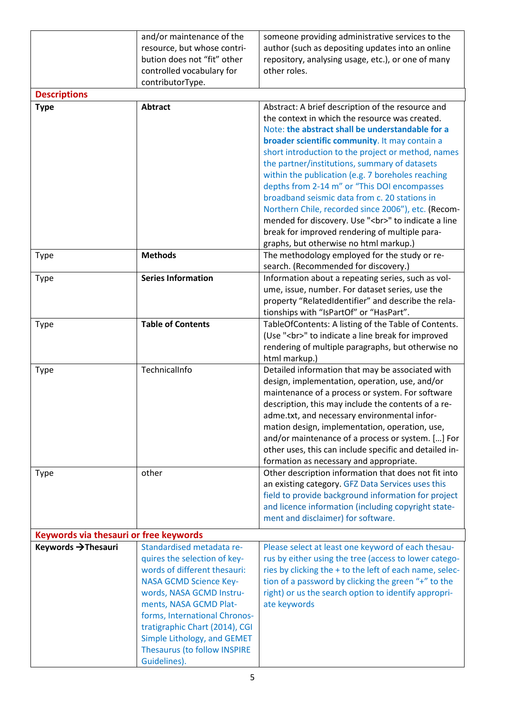|                                        | and/or maintenance of the<br>resource, but whose contri-<br>bution does not "fit" other<br>controlled vocabulary for<br>contributorType.                                                                                                                                                                                                  | someone providing administrative services to the<br>author (such as depositing updates into an online<br>repository, analysing usage, etc.), or one of many<br>other roles.                                                                                                                                                                                                                                                                                                                                                                                                                                                                                                      |  |
|----------------------------------------|-------------------------------------------------------------------------------------------------------------------------------------------------------------------------------------------------------------------------------------------------------------------------------------------------------------------------------------------|----------------------------------------------------------------------------------------------------------------------------------------------------------------------------------------------------------------------------------------------------------------------------------------------------------------------------------------------------------------------------------------------------------------------------------------------------------------------------------------------------------------------------------------------------------------------------------------------------------------------------------------------------------------------------------|--|
| <b>Descriptions</b>                    |                                                                                                                                                                                                                                                                                                                                           |                                                                                                                                                                                                                                                                                                                                                                                                                                                                                                                                                                                                                                                                                  |  |
| <b>Type</b>                            | <b>Abtract</b>                                                                                                                                                                                                                                                                                                                            | Abstract: A brief description of the resource and<br>the context in which the resource was created.<br>Note: the abstract shall be understandable for a<br>broader scientific community. It may contain a<br>short introduction to the project or method, names<br>the partner/institutions, summary of datasets<br>within the publication (e.g. 7 boreholes reaching<br>depths from 2-14 m" or "This DOI encompasses<br>broadband seismic data from c. 20 stations in<br>Northern Chile, recorded since 2006"), etc. (Recom-<br>mended for discovery. Use "<br>" to indicate a line<br>break for improved rendering of multiple para-<br>graphs, but otherwise no html markup.) |  |
| <b>Type</b>                            | <b>Methods</b>                                                                                                                                                                                                                                                                                                                            | The methodology employed for the study or re-                                                                                                                                                                                                                                                                                                                                                                                                                                                                                                                                                                                                                                    |  |
| Type                                   | <b>Series Information</b>                                                                                                                                                                                                                                                                                                                 | search. (Recommended for discovery.)<br>Information about a repeating series, such as vol-<br>ume, issue, number. For dataset series, use the<br>property "RelatedIdentifier" and describe the rela-<br>tionships with "IsPartOf" or "HasPart".                                                                                                                                                                                                                                                                                                                                                                                                                                  |  |
| <b>Type</b>                            | <b>Table of Contents</b>                                                                                                                                                                                                                                                                                                                  | TableOfContents: A listing of the Table of Contents.<br>(Use "<br>" to indicate a line break for improved<br>rendering of multiple paragraphs, but otherwise no<br>html markup.)                                                                                                                                                                                                                                                                                                                                                                                                                                                                                                 |  |
| <b>Type</b>                            | TechnicalInfo                                                                                                                                                                                                                                                                                                                             | Detailed information that may be associated with<br>design, implementation, operation, use, and/or<br>maintenance of a process or system. For software<br>description, this may include the contents of a re-<br>adme.txt, and necessary environmental infor-<br>mation design, implementation, operation, use,<br>and/or maintenance of a process or system. [] For<br>other uses, this can include specific and detailed in-<br>formation as necessary and appropriate.                                                                                                                                                                                                        |  |
| <b>Type</b>                            | other                                                                                                                                                                                                                                                                                                                                     | Other description information that does not fit into<br>an existing category. GFZ Data Services uses this<br>field to provide background information for project<br>and licence information (including copyright state-<br>ment and disclaimer) for software.                                                                                                                                                                                                                                                                                                                                                                                                                    |  |
| Keywords via thesauri or free keywords |                                                                                                                                                                                                                                                                                                                                           |                                                                                                                                                                                                                                                                                                                                                                                                                                                                                                                                                                                                                                                                                  |  |
| Keywords → Thesauri                    | Standardised metadata re-<br>quires the selection of key-<br>words of different thesauri:<br><b>NASA GCMD Science Key-</b><br>words, NASA GCMD Instru-<br>ments, NASA GCMD Plat-<br>forms, International Chronos-<br>tratigraphic Chart (2014), CGI<br>Simple Lithology, and GEMET<br><b>Thesaurus (to follow INSPIRE</b><br>Guidelines). | Please select at least one keyword of each thesau-<br>rus by either using the tree (access to lower catego-<br>ries by clicking the + to the left of each name, selec-<br>tion of a password by clicking the green "+" to the<br>right) or us the search option to identify appropri-<br>ate keywords                                                                                                                                                                                                                                                                                                                                                                            |  |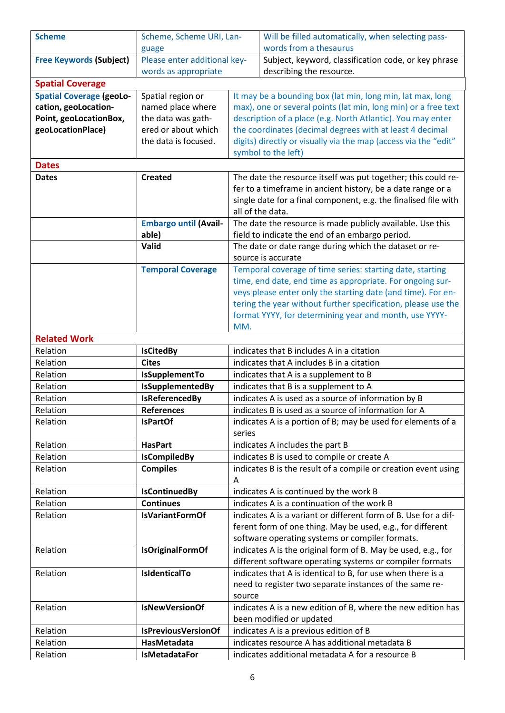| <b>Scheme</b>                   | Scheme, Scheme URI, Lan-     |                                                                 | Will be filled automatically, when selecting pass-             |
|---------------------------------|------------------------------|-----------------------------------------------------------------|----------------------------------------------------------------|
|                                 | guage                        |                                                                 | words from a thesaurus                                         |
| <b>Free Keywords (Subject)</b>  | Please enter additional key- |                                                                 | Subject, keyword, classification code, or key phrase           |
|                                 | words as appropriate         | describing the resource.                                        |                                                                |
| <b>Spatial Coverage</b>         |                              |                                                                 |                                                                |
| <b>Spatial Coverage (geoLo-</b> | Spatial region or            | It may be a bounding box (lat min, long min, lat max, long      |                                                                |
| cation, geoLocation-            | named place where            |                                                                 | max), one or several points (lat min, long min) or a free text |
| Point, geoLocationBox,          | the data was gath-           | description of a place (e.g. North Atlantic). You may enter     |                                                                |
| geoLocationPlace)               | ered or about which          | the coordinates (decimal degrees with at least 4 decimal        |                                                                |
|                                 | the data is focused.         | digits) directly or visually via the map (access via the "edit" |                                                                |
|                                 |                              |                                                                 | symbol to the left)                                            |
| <b>Dates</b>                    |                              |                                                                 |                                                                |
| <b>Dates</b>                    | <b>Created</b>               | The date the resource itself was put together; this could re-   |                                                                |
|                                 |                              | fer to a timeframe in ancient history, be a date range or a     |                                                                |
|                                 |                              | single date for a final component, e.g. the finalised file with |                                                                |
|                                 |                              | all of the data.                                                |                                                                |
|                                 | <b>Embargo until (Avail-</b> |                                                                 | The date the resource is made publicly available. Use this     |
|                                 | able)                        |                                                                 | field to indicate the end of an embargo period.                |
|                                 | Valid                        |                                                                 | The date or date range during which the dataset or re-         |
|                                 |                              |                                                                 | source is accurate                                             |
|                                 | <b>Temporal Coverage</b>     |                                                                 | Temporal coverage of time series: starting date, starting      |
|                                 |                              |                                                                 | time, end date, end time as appropriate. For ongoing sur-      |
|                                 |                              |                                                                 | veys please enter only the starting date (and time). For en-   |
|                                 |                              |                                                                 | tering the year without further specification, please use the  |
|                                 |                              |                                                                 | format YYYY, for determining year and month, use YYYY-         |
|                                 |                              | MM.                                                             |                                                                |
| <b>Related Work</b>             |                              |                                                                 |                                                                |
| Relation                        | <b>IsCitedBy</b>             | indicates that B includes A in a citation                       |                                                                |
| Relation                        | <b>Cites</b>                 | indicates that A includes B in a citation                       |                                                                |
| Relation                        | IsSupplementTo               | indicates that A is a supplement to B                           |                                                                |
| Relation                        | IsSupplementedBy             | indicates that B is a supplement to A                           |                                                                |
| Relation                        | <b>IsReferencedBy</b>        | indicates A is used as a source of information by B             |                                                                |
| Relation                        | <b>References</b>            | indicates B is used as a source of information for A            |                                                                |
| Relation                        | <b>IsPartOf</b>              | indicates A is a portion of B; may be used for elements of a    |                                                                |
|                                 |                              | series                                                          |                                                                |
| Relation                        | <b>HasPart</b>               | indicates A includes the part B                                 |                                                                |
| Relation                        | <b>IsCompiledBy</b>          | indicates B is used to compile or create A                      |                                                                |
| Relation                        | <b>Compiles</b>              | indicates B is the result of a compile or creation event using  |                                                                |
|                                 |                              | Α                                                               |                                                                |
| Relation                        | <b>IsContinuedBy</b>         | indicates A is continued by the work B                          |                                                                |
| Relation                        | <b>Continues</b>             | indicates A is a continuation of the work B                     |                                                                |
| Relation                        | <b>IsVariantFormOf</b>       | indicates A is a variant or different form of B. Use for a dif- |                                                                |
|                                 |                              | ferent form of one thing. May be used, e.g., for different      |                                                                |
|                                 |                              |                                                                 |                                                                |
| Relation                        | <b>IsOriginalFormOf</b>      | software operating systems or compiler formats.                 |                                                                |
|                                 |                              | indicates A is the original form of B. May be used, e.g., for   |                                                                |
| Relation                        | <b>IsidenticalTo</b>         | different software operating systems or compiler formats        |                                                                |
|                                 |                              | indicates that A is identical to B, for use when there is a     |                                                                |
|                                 |                              | need to register two separate instances of the same re-         |                                                                |
|                                 |                              | source                                                          |                                                                |
| Relation                        | <b>IsNewVersionOf</b>        | indicates A is a new edition of B, where the new edition has    |                                                                |
|                                 |                              | been modified or updated                                        |                                                                |
| Relation                        | <b>IsPreviousVersionOf</b>   | indicates A is a previous edition of B                          |                                                                |
| Relation                        | HasMetadata                  | indicates resource A has additional metadata B                  |                                                                |
| Relation                        | <b>IsMetadataFor</b>         | indicates additional metadata A for a resource B                |                                                                |